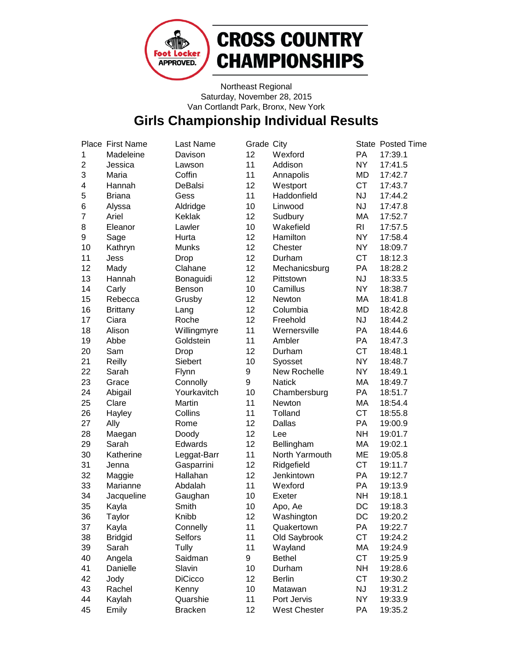

# **CROSS COUNTRY CHAMPIONSHIPS**

Northeast Regional Saturday, November 28, 2015 Van Cortlandt Park, Bronx, New York

### **Girls Championship Individual Results**

|                | Place First Name | Last Name      | Grade City        |                     |           | State Posted Time |
|----------------|------------------|----------------|-------------------|---------------------|-----------|-------------------|
| 1              | Madeleine        | Davison        | 12                | Wexford             | PA        | 17:39.1           |
| $\overline{c}$ | Jessica          | Lawson         | 11                | Addison             | <b>NY</b> | 17:41.5           |
| 3              | Maria            | Coffin         | 11                | Annapolis           | MD        | 17:42.7           |
| 4              | Hannah           | DeBalsi        | 12                | Westport            | <b>CT</b> | 17:43.7           |
| 5              | <b>Briana</b>    | Gess           | 11                | Haddonfield         | <b>NJ</b> | 17:44.2           |
| 6              | Alyssa           | Aldridge       | 10                | Linwood             | <b>NJ</b> | 17:47.8           |
| 7              | Ariel            | <b>Keklak</b>  | 12                | Sudbury             | МA        | 17:52.7           |
| 8              | Eleanor          | Lawler         | 10                | Wakefield           | RI.       | 17:57.5           |
| 9              | Sage             | Hurta          | 12                | Hamilton            | <b>NY</b> | 17:58.4           |
| 10             | Kathryn          | Munks          | 12                | Chester             | <b>NY</b> | 18:09.7           |
| 11             | Jess             | Drop           | 12                | Durham              | <b>CT</b> | 18:12.3           |
| 12             | Mady             | Clahane        | 12                | Mechanicsburg       | PA        | 18:28.2           |
| 13             | Hannah           | Bonaguidi      | 12                | Pittstown           | <b>NJ</b> | 18:33.5           |
| 14             | Carly            | Benson         | 10                | Camillus            | <b>NY</b> | 18:38.7           |
| 15             | Rebecca          | Grusby         | 12                | Newton              | МA        | 18:41.8           |
| 16             | <b>Brittany</b>  | Lang           | 12                | Columbia            | MD        | 18:42.8           |
| 17             | Ciara            | Roche          | 12                | Freehold            | <b>NJ</b> | 18:44.2           |
| 18             | Alison           | Willingmyre    | 11                | Wernersville        | PA        | 18:44.6           |
| 19             | Abbe             | Goldstein      | 11                | Ambler              | PA        | 18:47.3           |
| 20             | Sam              | Drop           | 12                | Durham              | <b>CT</b> | 18:48.1           |
| 21             | Reilly           | Siebert        | 10                | Syosset             | <b>NY</b> | 18:48.7           |
| 22             | Sarah            | Flynn          | 9                 | New Rochelle        | <b>NY</b> | 18:49.1           |
| 23             | Grace            | Connolly       | 9                 | <b>Natick</b>       | МA        | 18:49.7           |
| 24             | Abigail          | Yourkavitch    | 10                | Chambersburg        | PA        | 18:51.7           |
| 25             | Clare            | Martin         | 11                | Newton              | МA        | 18:54.4           |
| 26             | Hayley           | Collins        | 11                | Tolland             | <b>CT</b> | 18:55.8           |
| 27             | Ally             | Rome           | 12                | Dallas              | PA        | 19:00.9           |
| 28             | Maegan           | Doody          | 12                | Lee                 | <b>NH</b> | 19:01.7           |
| 29             | Sarah            | Edwards        | 12                | Bellingham          | МA        | 19:02.1           |
| 30             | Katherine        | Leggat-Barr    | 11                | North Yarmouth      | ME        | 19:05.8           |
| 31             | Jenna            | Gasparrini     | 12                | Ridgefield          | <b>CT</b> | 19:11.7           |
| 32             | Maggie           | Hallahan       | 12                | Jenkintown          | PA        | 19:12.7           |
| 33             | Marianne         | Abdalah        | 11                | Wexford             | PA        | 19:13.9           |
| 34             | Jacqueline       | Gaughan        | 10                | Exeter              | <b>NH</b> | 19:18.1           |
| 35             | Kayla            | Smith          | 10                | Apo, Ae             | DC        | 19:18.3           |
| 36             | Taylor           | Knibb          | $12 \overline{ }$ | Washington          | DC        | 19:20.2           |
| 37             | Kayla            | Connelly       | 11                | Quakertown          | PA        | 19:22.7           |
| 38             | <b>Bridgid</b>   | <b>Selfors</b> | 11                | Old Saybrook        | <b>CT</b> | 19:24.2           |
| 39             | Sarah            | Tully          | 11                | Wayland             | МA        | 19:24.9           |
| 40             | Angela           | Saidman        | 9                 | <b>Bethel</b>       | <b>CT</b> | 19:25.9           |
| 41             | Danielle         | Slavin         | 10                | Durham              | <b>NH</b> | 19:28.6           |
| 42             | Jody             | <b>DiCicco</b> | 12                | <b>Berlin</b>       | <b>CT</b> | 19:30.2           |
| 43             | Rachel           | Kenny          | 10                | Matawan             | <b>NJ</b> | 19:31.2           |
| 44             | Kaylah           | Quarshie       | 11                | Port Jervis         | <b>NY</b> | 19:33.9           |
| 45             | Emily            | <b>Bracken</b> | 12                | <b>West Chester</b> | PA        | 19:35.2           |
|                |                  |                |                   |                     |           |                   |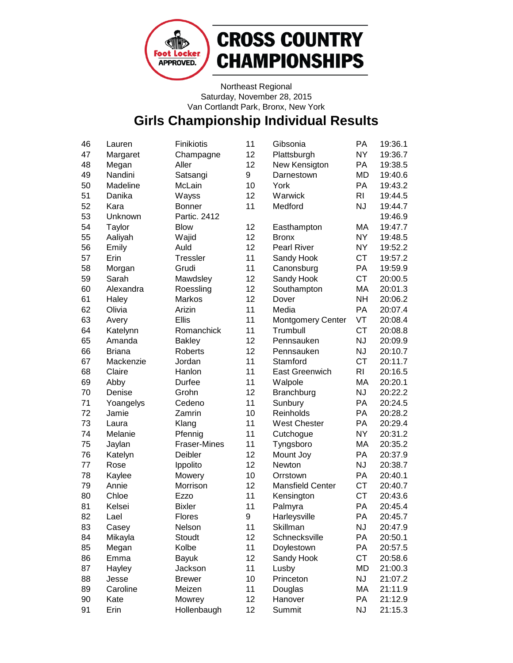

# **CROSS COUNTRY CHAMPIONSHIPS**

Northeast Regional Saturday, November 28, 2015 Van Cortlandt Park, Bronx, New York

### **Girls Championship Individual Results**

| 46 | Lauren        | Finikiotis          | 11 | Gibsonia                 | PA             | 19:36.1 |
|----|---------------|---------------------|----|--------------------------|----------------|---------|
| 47 | Margaret      | Champagne           | 12 | Plattsburgh              | <b>NY</b>      | 19:36.7 |
| 48 | Megan         | Aller               | 12 | New Kensigton            | PA             | 19:38.5 |
| 49 | Nandini       | Satsangi            | 9  | Darnestown               | MD             | 19:40.6 |
| 50 | Madeline      | McLain              | 10 | York                     | PA             | 19:43.2 |
| 51 | Danika        | Wayss               | 12 | Warwick                  | R <sub>l</sub> | 19:44.5 |
| 52 | Kara          | <b>Bonner</b>       | 11 | Medford                  | <b>NJ</b>      | 19:44.7 |
| 53 | Unknown       | Partic. 2412        |    |                          |                | 19:46.9 |
| 54 | Taylor        | <b>Blow</b>         | 12 | Easthampton              | MA             | 19:47.7 |
| 55 | Aaliyah       | Wajid               | 12 | <b>Bronx</b>             | <b>NY</b>      | 19:48.5 |
| 56 | Emily         | Auld                | 12 | <b>Pearl River</b>       | <b>NY</b>      | 19:52.2 |
| 57 | Erin          | <b>Tressler</b>     | 11 | Sandy Hook               | <b>CT</b>      | 19:57.2 |
| 58 | Morgan        | Grudi               | 11 | Canonsburg               | PA             | 19:59.9 |
| 59 | Sarah         | Mawdsley            | 12 | Sandy Hook               | <b>CT</b>      | 20:00.5 |
| 60 | Alexandra     | Roessling           | 12 | Southampton              | MA             | 20:01.3 |
| 61 | Haley         | Markos              | 12 | Dover                    | <b>NH</b>      | 20:06.2 |
| 62 | Olivia        | Arizin              | 11 | Media                    | PA             | 20:07.4 |
| 63 | Avery         | <b>Ellis</b>        | 11 | <b>Montgomery Center</b> | VT             | 20:08.4 |
| 64 | Katelynn      | Romanchick          | 11 | Trumbull                 | <b>CT</b>      | 20:08.8 |
| 65 | Amanda        | <b>Bakley</b>       | 12 | Pennsauken               | <b>NJ</b>      | 20:09.9 |
| 66 | <b>Briana</b> | Roberts             | 12 | Pennsauken               | <b>NJ</b>      | 20:10.7 |
| 67 | Mackenzie     | Jordan              | 11 | Stamford                 | <b>CT</b>      | 20:11.7 |
| 68 | Claire        | Hanlon              | 11 | <b>East Greenwich</b>    | R <sub>l</sub> | 20:16.5 |
| 69 | Abby          | Durfee              | 11 | Walpole                  | MA             | 20:20.1 |
| 70 | Denise        | Grohn               | 12 | Branchburg               | <b>NJ</b>      | 20:22.2 |
| 71 | Yoangelys     | Cedeno              | 11 | Sunbury                  | PA             | 20:24.5 |
| 72 | Jamie         | Zamrin              | 10 | Reinholds                | PA             | 20:28.2 |
| 73 | Laura         | Klang               | 11 | <b>West Chester</b>      | PA             | 20:29.4 |
| 74 | Melanie       | Pfennig             | 11 | Cutchogue                | <b>NY</b>      | 20:31.2 |
| 75 | Jaylan        | <b>Fraser-Mines</b> | 11 | Tyngsboro                | MA             | 20:35.2 |
| 76 | Katelyn       | Deibler             | 12 | Mount Joy                | PA             | 20:37.9 |
| 77 | Rose          | Ippolito            | 12 | Newton                   | <b>NJ</b>      | 20:38.7 |
| 78 | Kaylee        | Mowery              | 10 | Orrstown                 | PA             | 20:40.1 |
| 79 | Annie         | Morrison            | 12 | <b>Mansfield Center</b>  | <b>CT</b>      | 20:40.7 |
| 80 | Chloe         | Ezzo                | 11 | Kensington               | <b>CT</b>      | 20:43.6 |
| 81 | Kelsei        | <b>Bixler</b>       | 11 | Palmyra                  | PA             | 20:45.4 |
| 82 | Lael          | Flores              | 9  | Harleysville             | PA             | 20:45.7 |
| 83 | Casey         | Nelson              | 11 | Skillman                 | <b>NJ</b>      | 20:47.9 |
| 84 | Mikayla       | Stoudt              | 12 | Schnecksville            | PA             | 20:50.1 |
| 85 | Megan         | Kolbe               | 11 | Doylestown               | PA             | 20:57.5 |
| 86 | Emma          | <b>Bayuk</b>        | 12 | Sandy Hook               | <b>CT</b>      | 20:58.6 |
| 87 | Hayley        | Jackson             | 11 | Lusby                    | <b>MD</b>      | 21:00.3 |
| 88 | Jesse         | <b>Brewer</b>       | 10 | Princeton                | <b>NJ</b>      | 21:07.2 |
| 89 | Caroline      | Meizen              | 11 | Douglas                  | MA             | 21:11.9 |
| 90 | Kate          | Mowrey              | 12 | Hanover                  | PA             | 21:12.9 |
| 91 | Erin          | Hollenbaugh         | 12 | Summit                   | <b>NJ</b>      | 21:15.3 |